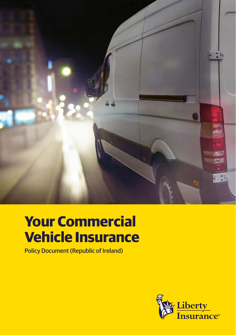

# **Your Commercial Vehicle Insurance**

Policy Document (Republic of Ireland)

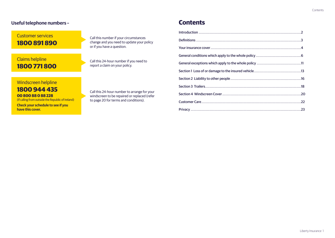#### **Useful telephone numbers –**

### Customer services **1800 891 890**

### Claims helpline **1800 771 800**

Call this number if your circumstances change and you need to update your policy or if you have a question.

Call this 24-hour number if you need to report a claim on your policy.

### Windscreen helpline

### **1800 944 435 00 800 88 0 88 228**

(If calling from outside the Republic of Ireland)

**Check your schedule to see if you have this cover.**

Call this 24-hour number to arrange for your windscreen to be repaired or replaced (refer to page 20 for terms and conditions).

### **Contents**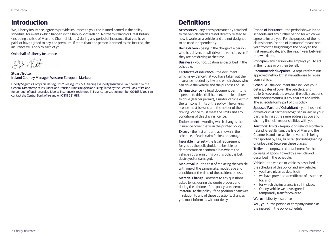### <span id="page-2-0"></span>**Introduction Definitions**

We, Liberty Insurance, agree to provide insurance to you, the insured named in the policy schedule, for events which happen in the Republic of Ireland, Northern Ireland or Great Britain (including the Isle of Man and Channel Islands) during any period of insurance that you have paid, or have agreed to pay, the premium. If more than one person is named as the insured, the insurance will apply to each of you.

#### On behalf of Liberty Insurance

 $SPL$  Olt

Stuart Trotter Ireland Country Manager, Western European Markets

Liberty Seguros, Compania de Seguros Y Reaseguros, S.A, trading as Liberty Insurance is authorised by the General Directorate of Insurance and Pension Funds in Spain and is regulated by the Central Bank of Ireland for conduct of business rules. Liberty Insurance is registered in Ireland, registration number 904632. You can contact the Central Bank of Ireland on 0818 681 681.

Accessories – any items permanently attached to the vehicle which are not directly related to how it works as a vehicle and are not designed to be used independently.

Being driven – being in the charge of a person who has driven, or will drive the vehicle, even if they are not driving at the time.

Business – your occupation as described in the schedule.

Certificate of insurance – the document which is evidence that you have taken out the insurance needed by law and which shows who can drive the vehicle and the purposes of use.

Driving Licence – a legal document permitting a person to drive (full licence), or to learn how to drive (learner permit), a motor vehicle within the territorial limits of the policy. The driving licence must be valid and the holder of the driving licence must meet the limits and any conditions of this driving licence.

Endorsement – wording which changes the insurance cover that is in the printed policy.

Excess – the first amount, as shown in the schedule, of each claim for loss or damage.

Insurable Interest – the legal requirement for you as the policyholder to be able to demonstrate an economic loss where the vehicle you are insuring on this policy is lost, destroyed or damaged.

Market value – the cost of replacing the vehicle with one of the same make, model, age and condition at the time of the accident or loss.

Material Change – answers to any questions asked by us, during the quote process and during the lifetime of the policy, are deemed 'material' to the policy. If the position or answer, in relation to any of these questions, changes you must inform us without delay.

Period of insurance – the period shown in the schedule and any further period for which we agree to insure you. For the purpose of the no claims bonus, 'period of insurance' means one year from the beginning of the policy to the first renewal date, and then each year between renewal dates.

Principal – any person who employs you to act in their place or on their behalf.

Recommended Repairer – A repairer from our approved network that we authorise to repair your vehicle.

Schedule – the document that includes your details, dates of cover, the vehicle(s) and trailer(s) covered, the excess, the policy sections and endorsement(s), if any, that are applicable. The schedule forms part of this policy.

Spouse / Partner / Cohabitant – your husband or wife or civil partner recognised in law, or your partner living at the same address as you and sharing financial responsibilities with you.

Territorial limits – Republic of Ireland, Northern Ireland, Great Britain, the Isle of Man and the Channel Islands, or while the vehicle is being transported by sea, air or rail (including loading or unloading) between these places.

Trailer – an unpowered attachment for the carriage of goods, towed by a vehicle and described in the schedule.

Vehicle – the vehicle or vehicles described in the schedule of this policy and any vehicle:

- you have given us details of;
- we have provided a certificate of insurance for; and
- for which the insurance is still in place.
- Or any vehicle we have agreed to temporarily transfer cover to.

We, us - Liberty Insurance

You, your – the person or company named as the insured in the policy schedule.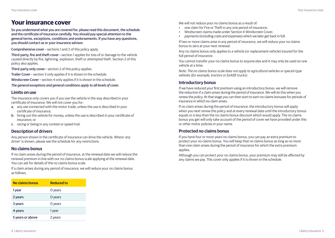### <span id="page-3-0"></span>**Your insurance cover**

So you understand what you are covered for, please read this document, the schedule and the certificate of insurance carefully. You should pay special attention to the general terms, exceptions, conditions and endorsements. If you have any questions, you should contact us or your insurance advisor.

Comprehensive cover – sections 1 and 2 of this policy apply.

Third-party, fire and theft cover – section 1 applies for loss of or damage to the vehicle caused directly by fire, lightning, explosion, theft or attempted theft. Section 2 of this policy also applies.

Third-party only cover – section 2 of this policy applies.

Trailer Cover – section 3 only applies if it is shown in the schedule.

Windscreen Cover – section 4 only applies if it is shown in the schedule.

*The general exceptions and general conditions apply to all levels of cover.*

#### **Limits on use**

The insurance only covers you if you use the vehicle in the way described in your certificate of insurance. We will not cover you for:

- a. any use connected with the motor trade, unless the use is described in your certificate of insurance;
- b. hiring out the vehicle for money, unless the use is described in your certificate of insurance; or
- c. racing or being in any contest or speed trial.

#### **Description of drivers**

Any person shown in the certificate of insurance can drive the vehicle. Where 'any driver' is shown, please see the schedule for any restrictions.

#### **No claims bonus**

If no claim arises during the period of insurance, at the renewal date we will reduce the renewal premium in line with our no claims bonus scale applying at the renewal date. You can ask for details of the no claims bonus scale.

If a claim arises during any period of insurance, we will reduce your no claims bonus as follows.

| No claims bonus  | <b>Reduced to</b> |
|------------------|-------------------|
| 1 year           | O years           |
| 2 years          | O years           |
| 3 years          | O years           |
| 4 years          | 1 year            |
| 5 years or above | 2 years           |

We will not reduce your no claims bonus as a result of:

- one claim for Fire or Theft in any one period of insurance;
- Windscreen claims made under Section 4 Windscreen Cover;
- payments (including costs and expenses) which we later get back in full.

If two or more claims arise in any period of insurance, we will reduce your no claims bonus to zero at your next renewal.

Any no claims bonus only applies to a vehicle (or replacement vehicle) insured for the full period of insurance.

You cannot transfer your no claims bonus to anyone else and it may only be used on one vehicle at a time.

*Note: The no claims bonus scale does not apply to agricultural vehicles or special-type vehicles (for example, tractors or forklift trucks).*

#### **Introductory bonus**

If we have reduced your first premium using an introductory bonus, we will remove the reduction if a claim arises during the period of insurance. We will do this when you renew the policy. At that stage you can then start to earn no claims bonuses for periods of insurance in which no claim arises.

If no claim arises during the period of insurance, the introductory bonus will apply when you next renew the policy and at every renewal date until the introductory bonus equals or is less than the no claims bonus discount which would apply. The no claims bonus you get will only take account of the period of cover we have provided under this or other motor policies in your name.

#### **Protected no claims bonus**

If you have four or more years no claims bonus, you can pay an extra premium to protect your no claims bonus. You will keep that no claims bonus as long as no more than one claim arises during the period of insurance for which the extra premium applies.

Although you can protect your no claims bonus, your premium may still be affected by any claims we pay. This cover only applies if it is shown in the schedule.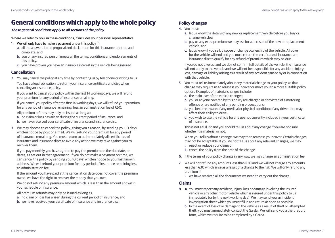## <span id="page-4-0"></span>**General conditions which apply to the whole policy <b>Policy changes**

#### *These general conditions apply to all sections of the policy.*

Where we refer to 'you' in these conditions, it includes your personal representative

- 1. We will only have to make a payment under this policy if:
	- a. all the answers in the proposal and declaration for this insurance are true and complete; and
	- b. you or any insured person meets all the terms, conditions and endorsements of this policy.
	- c. you have proven you have an insurable interest in the vehicle being insured.

#### **Cancellation**

2. You may cancel the policy at any time by contacting us by telephone or writing to us.

You have a legal obligation to return your insurance certificate and disc when cancelling an insurance policy.

If you want to cancel your policy within the first 14 working days, we will refund your premium for any period of insurance remaining.

If you cancel your policy after the first 14 working days, we will refund your premium for any period of insurance remaining, less an administration fee of €50.

All premium refunds may only be issued as long as:

- a. no claim or loss has arisen during the current period of insurance; and
- b. we have received your certificate of insurance and insurance disc.
- 3. We may choose to cancel the policy, giving you a reason, by sending you 10 days' written notice by post or e-mail. We will refund your premium for any period of insurance remaining. You must return to us immediately all certificates of insurance and insurance discs to avoid any action we may take against you to recover them.

If you pay monthly you have agreed to pay the premium on the due date, or dates, as set out in that agreement. If you do not make a payment on time, we can cancel the policy by sending you 10 days' written notice to your last known address. We will refund your premium for any period of insurance remaining less an administration fee.

If the amount you have paid at the cancellation date does not cover the premium owed, we have the right to recover the money that you owe.

We do not refund any premium amount which is less than the amount shown in your schedule of insurance.

All premium refunds may only be issued as long as:

- a. no claim or loss has arisen during the current period of insurance; and
- b. we have received your certificate of insurance and insurance disc.

#### 4. You must:

- a. let us know the details of any new or replacement vehicle before you buy or change vehicles;
- b. pay us any extra premium we may ask for as a result of the new or replacement vehicle; and
- c. let us know if you sell, dispose or change ownership of the vehicle. All cover for the vehicle will end and you must return the certificate of insurance and insurance disc to qualify for any refund of premium which may be due.

If you do not give us, and we do not confirm full details of the vehicle, the insurance will not apply to the vehicle and we will not be responsible for any accident, injury, loss, damage or liability arising as a result of any accident caused by or in connection with that vehicle.

- 5. You must tell us immediately about any material change to your policy, as that change may require us to reassess your cover or move you to a more suitable policy option. Examples of material changes include;
	- a. the main user of the vehicle changes;
	- b. you or anyone covered by this policy are charged or convicted of a motoring offence or are notified of any pending prosecutions;
	- c. you become aware of any medical or physical condition of any driver that may affect their ability to drive;
	- d. you wish to use the vehicle for any use not currently included in your certificate of insurance.

This is not a full list and you should tell us about any change if you are not sure whether it is material or not.

When you tell us about a change, we may then reassess your cover. Certain changes may not be acceptable. If you do not tell us about any relevant changes, we may:

- i. reject or reduce your claim; or
- ii. cancel the policy from the date of the change.
- 6. If the terms of your policy change in any way, we may charge an administration fee.
- 7. We will not refund any amounts less than €30 and we will not charge any amounts less than €30 which arise as a result of a change to the risk. We will only refund any premium if:
	- we have received all the documents we need to carry out the change.

#### **Claims**

- 8. a. You must report any accident, injury, loss or damage involving the insured vehicle or any other motor vehicle which is insured under this policy to us immediately (or by the next working day). We may send you an incident investigation sheet which you must fill in and return as soon as possible.
	- b. In the event of loss of or damage to the vehicle as a result of theft or, attempted theft, you must immediately contact the Gardai. We will send you a theft report form, which we require to be completed by a Garda.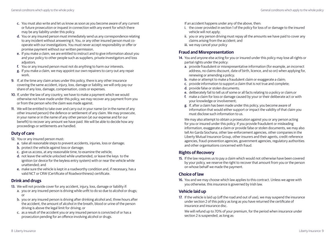- c. You must also write and let us know as soon as you become aware of any current or future prosecution or inquest in connection with any event for which there may be any liability under this policy.
- d. You or any insured person must immediately send us any correspondence relating to any incident without answering it. You, or any other insured person must cooperate with our investigations. You must never accept responsibility or offer or promise payment without our written permission.
- e. If you make a claim, we are entitled to instruct and to give information about you and your policy to other people such as suppliers, private investigators and loss adjustors.
- f. You or any insured person must not do anything to harm our interests.
- g. If you make a claim, we may appoint our own repairers to carry out any repair work.
- 9. If, at the time any claim arises under this policy, there is any other insurance covering the same accident, injury, loss, damage or liability, we will only pay our share of any loss, damage, compensation, costs or expenses.
- 10. If, under the law of any country, we have to make a payment which we would otherwise not have made under this policy, we may recover any payment from you or from the person who the claim was made against.
- 11. We will be entitled to take over and carry out in your name (or in the name of any other insured person) the defence or settlement of any claim. We may prosecute, in your name or in the name of any other person (at our expense and for our benefit) to recover any amount we have paid. We will be able to decide how any proceedings or settlements are handled.

#### **Duty of care**

- 12. You or any insured person must:
	- a. take all reasonable steps to prevent accidents, injuries, loss or damage;
	- b. protect the vehicle against loss or damage;
	- c. give us access, at any reasonable time, to examine the vehicle;
	- d. not leave the vehicle unlocked while unattended, or leave the keys to the ignition (or device for the keyless entry system) with or near the vehicle while unattended; and
	- e. make sure the vehicle is kept in a roadworthy condition and, if necessary, has a valid NCT or CRW (Certificate of Roadworthiness) certificate.

#### **Drink and drugs**

- 13. We will not provide cover for any accident, injury, loss, damage or liability if:
	- a. you or any insured person is driving while unfit to do so due to alcohol or drugs; or
	- b. you or any insured person is driving after drinking alcohol and, three hours after the accident, the amount of alcohol in the breath, blood or urine of the person driving is above the legal limit for driving; or
	- c. as a result of the accident you or any insured person is convicted of or has a prosecution pending for an offence involving alcohol or drugs.

If an accident happens under any of the above, then:

- i. the cover provided in section 1 of the policy for loss of or damage to the insured vehicle will not apply;
- ii. you or any person driving must repay all the amounts we have paid to cover any claims arising from the accident; and
- iii. we may cancel your policy

#### **Fraud and Misrepresentation**

- 14. You and anyone else acting for you or insured under this policy may lose all rights or partial rights under the policy:
	- a. provide fraudulent or misrepresentative information (for example, an incorrect address, no claims discount, date of birth, licence, and so on) when applying for, renewing or amending a policy;
	- b. make or attempt to make a fraudulent claim or exaggerate a claim;
	- c. provide information to support a claim that is not true and complete;
	- d. provide false or stolen documents;
	- e. deliberately fail to tell us of some or all facts relating to a policy or claim;or
	- f. make a claim for loss or damage caused by your or their deliberate act or with your knowledge or involvement;
	- g. If, after a claim has been made under this policy, you become aware of information that would either support or impact the validity of that claim you must disclose such information to us.

We may also attempt to obtain a prosecution against you or any person acting for you or insured under this policy. If you provide fraudulent or misleading information, exaggerate a claim or provide false or stolen documents, we may also tell An Garda Siochana, other law-enforcement agencies, other companies in the Liberty Mutual Insurance Group, other insurers and their agents, credit-reference agencies, fraud-prevention agencies, government agencies, regulatory authorities and other organisations concerned with fraud.

#### **Rights of Recovery**

15. If the law requires us to pay a claim which would not otherwise have been covered by your policy, we reserve the right to recover that amount from you or the person on whose behalf we made the payment.

#### **Choice of law**

16. You and we may choose which law applies to this contract. Unless we agree with you otherwise, this insurance is governed by Irish law.

#### **Vehicle laid up**

17. If the vehicle is laid up (off the road and out of use), we may suspend the insurance under section 2 of this policy as long as you have returned the certificate of insurance and insurance disc.

We will refund up to 70% of your premium, for the period when insurance under section 2 is suspended, as long as: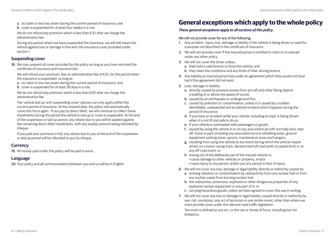- <span id="page-6-0"></span>a. no claim or loss has arisen during the current period of insurance; and
- b. cover is suspended for at least four weeks in a row.

We do not refund any premium which is less than €30 after we charge the administration fee.

During any period where we have suspended the insurance, we will still insure the vehicle against loss or damage in line with the insurance cover provided under section 1

#### **Suspending cover**

18. We may suspend all cover provided by this policy as long as you have returned the certificate of insurance and insurance disc.

We will refund your premium, less an administration fee of  $\epsilon$ 25, for the period when the insurance is suspended, as long as:

- a. no claim or loss has arisen during the current period of insurance; and
- b. cover is suspended for at least 28 days in a row.

We do not refund any premium which is less than €30 after we charge the administration fee.

The 'vehicle laid up' and 'suspending cover' options can only apply within the current period of insurance. At the renewal date, the policy will automatically come into force again. If you pay by direct debit, we will continue to collect these instalments during the period the vehicle is laid up or cover is suspended. At the end of the suspension or laid up period, any rebate due to you will be applied against the remaining direct debit instalments, with any surplus amount being refunded by cheque.

If you paid your premium in full, any rebate due to you at the end of the suspension or laid up period will be refunded to you by cheque.

#### **Currency**

19. All money paid under this policy will be paid in euros.

#### **Language**

20. Your policy and all communications between you and us will be in English.

## **General exceptions which apply to the whole policy**

#### *These general exceptions apply to all sections of this policy.*

#### We will not provide cover for any of the following.

- 1. Any accident, injury, loss, damage or liability if the vehicle is being driven or used for a purpose not described in the certificate of insurance.
- 2. We will not provide cover if the insured person is entitled to claim or is covered under any other policy.
- 3. We will not cover the driver unless;
	- a. they hold a valid licence to drive the vehicle; and
	- b. they meet the conditions and any limits of their driving licence.
- 4. Any liability an insured person has under an agreement which they would not have had if the agreement did not exist.
- 5. Loss, damage or liability:
	- a. directly caused by pressure waves from aircraft and other flying objects travelling at or above the speed of sound;
	- **b.** caused by an earthquake or underground fire:
	- c. caused by pollution or contamination, unless it is caused by a sudden, identifiable, unexpected and accidental incident which happens during the period of insurance;
	- d. if you have an accident while your vehicle, including its load, is being driven when it is not fit and safe to do so;
	- e. if your vehicle is overloaded with passengers or goods;
	- f. caused by using the vehicle in or on any area where aircraft normally land, take off, move or park including any associated service refuelling areas, ground equipment parking areas, aprons, maintenance areas and hangars;
	- g. resulting from using the vehicle at any event during which the vehicle maybe driven on a motor racing track, derestricted toll road (with no speed limit) or at any off-road event; or
	- h. arising out of the deliberate use of the insured vehicle to;
		- cause damage to other vehicles or property, and/or
		- cause injury to any person and/or put any person in fear of injury.
- 6. We will not cover any loss, damage or legal liability directly or indirectly caused by:
	- a. ionising radiation or contamination by radioactivity from any nuclear fuel or from any nuclear waste from burning nuclear fuel;
	- b. the radioactive, poisonous, explosive or other dangerous properties of any explosive nuclear equipment or any part of it; or
	- c. carrying hazardous goods, unless we have agreed to cover this use in writing.
- 7. We will not cover any loss or damage or legal liability caused directly or indirectly by war, riot, revolution, any act of terrorism or any similar event, other than where we must provide cover under the relevant road traffic legislation.

Terrorism is defined as any act, or the use or threat of force, including but not limited to: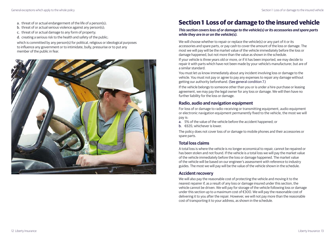- <span id="page-7-0"></span>a. threat of or actual endangerment of the life of a person(s);
- b. threat of or actual serious violence against any person(s);
- c. threat of or actual damage to any form of property;
- d. creating a serious risk to the health and safety of the public;

which is committed by any person(s) for political, religious or ideological purposes to influence any government or to intimidate, bully, pressurise or to put any member of the public in fear.



## **Section 1 Loss of or damage to the insured vehicle**

#### *This section covers loss of or damage to the vehicle(s) or its accessories and spare parts while they are in or on the vehicle(s).*

We will choose whether to repair or replace the vehicle(s) or any part of it or its accessories and spare parts, or pay cash to cover the amount of the loss or damage. The most we will pay will be the market value of the vehicle immediately before the loss or damage happened, but not more than the value as shown in the schedule.

If your vehicle is three years old or more, or if it has been imported, we may decide to repair it with parts which have not been made by your vehicle's manufacturer, but are of a similar standard.

You must let us know immediately about any incident involving loss or damage to the vehicle. You must not pay or agree to pay any expenses to repair any damage without getting our authority beforehand. (See general condition 7.)

If the vehicle belongs to someone other than you or is under a hire-purchase or leasing agreement, we may pay the legal owner for any loss or damage. We will then have no further liability for the loss or damage.

#### **Radio, audio and navigation equipment**

For loss of or damage to radio-receiving or transmitting equipment, audio equipment or electronic navigation equipment permanently fixed to the vehicle, the most we will pay is:

- a. 5% of the value of the vehicle before the accident happened; or
- b. €635; whichever is lower.

The policy does not cover loss of or damage to mobile phones and their accessories or spare parts.

#### **Total loss claims**

A total loss is where the vehicle is no longer economical to repair, cannot be repaired or has been stolen and not found. If the vehicle is a total loss we will pay the market value of the vehicle immediately before the loss or damage happened. The market value of the vehicle will be based on our engineer's assessment with reference to industry guides. The most we will pay will be the value of the vehicle shown in the schedule.

#### **Accident recovery**

We will also pay the reasonable cost of protecting the vehicle and moving it to the nearest repairer if, as a result of any loss or damage insured under this section, the vehicle cannot be driven. We will pay for storage of the vehicle following loss or damage under this section up to a maximum cost of €300. We will pay the reasonable cost of delivering it to you after the repair. However, we will not pay more than the reasonable cost of transporting it to your address, as shown in the schedule.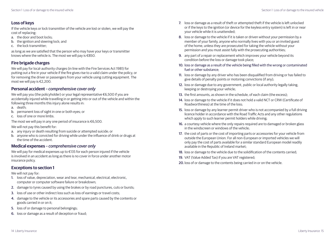#### **Loss of keys**

If the vehicle keys or lock transmitter of the vehicle are lost or stolen, we will pay the cost of replacing:

- a. the door and boot locks;
- b. the ignition and steering lock; and
- c. the lock transmitter;

as long as we are satisfied that the person who may have your keys or transmitter knows where the vehicle is. The most we will pay is €850.

#### **Fire brigade charges**

We will pay for local-authority charges (in line with the Fire Services Act 1981) for putting out a fire in your vehicle if the fire gives rise to a valid claim under the policy, or for removing the driver or passengers from your vehicle using cutting equipment. The most we will pay is €2,200.

#### **Personal accident** *– comprehensive cover only*

We will pay you (the policyholder) or your legal representative €6,500 if you are accidentally injured while travelling in or getting into or out of the vehicle and within the following three months this injury alone results in:

- a. death;
- b. permanent loss of sight in one or both eyes; or
- c. loss of one or more limbs.

The most we will pay in any one period of insurance is  $€6,500$ .

We will not pay this benefit for:

- a. any injury or death resulting from suicide or attempted suicide; or
- b. anyone who is convicted for driving while under the influence of drink or drugs at the time of the accident.

#### **Medical expenses** *– comprehensive cover only*

We will pay for medical expenses up to €135 for each person injured if the vehicle is involved in an accident as long as there is no cover in force under another motor insurance policy.

#### **Exceptions to section 1**

We will not pay for:

- 1. loss of value, depreciation, wear and tear, mechanical, electrical, electronic, computer or computer software failure or breakdown;
- 2. damage to tyres caused by using the brakes or by road punctures, cuts or bursts;
- 3. loss of use or other indirect loss such as loss of earnings or travel costs;
- 4. damage to the vehicle or its accessories and spare parts caused by the contents or goods carried in or on it;
- 5. loss of or damage to personal belongings;
- 6. loss or damage as a result of deception or fraud;
- 7. loss or damage as a result of theft or attempted theft if the vehicle is left unlocked or if the keys to the ignition (or device for the keyless entry system) is left in or near your vehicle while it is unattended;
- 8. loss or damage to the vehicle if it is taken or driven without your permission by a member of your family, anyone who normally lives with you or an invited guest of the home, unless they are prosecuted for taking the vehicle without your permission and you must assist fully with the prosecuting authorities;
- 9. any part of a repair or replacement which improves your vehicle beyond its condition before the loss or damage took place;
- 10. loss or damage as a result of the vehicle being filled with the wrong or contaminated fuel or other substance;
- 11. loss or damage by any driver who has been disqualified from driving or has failed to give details of penalty points or motoring convictions (if any);
- 12. loss or damage due to any government, public or local authority legally taking, keeping or destroying your vehicle;
- 13. the first amounts, as shown in the schedule, of each claim (the excess);
- 14. loss or damage to the vehicle if it does not hold a valid NCT or CRW (Certificate of Roadworthiness) at the time of the loss;
- 15. loss or damage by any learner permit driver who is not accompanied by a full driving licence holder in accordance with the Road Traffic Acts and any other regulations which apply to such learner permit holders while driving;
- 16. a courtesy vehicle where the only repairs required are to damaged or broken glass in the windscreen or windows of the vehicle;
- 17. the cost of parts or the cost of importing parts or accessories for your vehicle from outside the European Union. For all non-European or imported vehicles we will only pay the cost of parts available for a similar standard European model readily available in the Republic of Ireland market;
- 18. loss or damage to the vehicle due to the solidification of the contents carried;
- 19. VAT (Value Added Tax) if you are VAT registered;
- 20. loss of or damage to the contents being carried in or on the vehicle.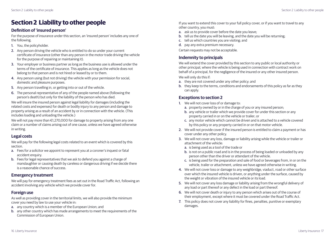#### **Definition of 'insured person'**

For the purpose of insurance under this section, an 'insured person' includes any one of the following.

- 1. You, the policyholder.
- 2. Any person driving the vehicle who is entitled to do so under your current certificate of insurance (other than any person in the motor trade driving the vehicle for the purpose of repairing or maintaining it).
- 3. Your employer or business partner as long as the business use is allowed under the terms of the certificate of insurance. This applies as long as the vehicle does not belong to that person and is not hired or leased by or to them.
- 4. Any person using (but not driving) the vehicle with your permission for social, domestic and pleasure purposes.
- 5. Any person travelling in, or getting into or out of the vehicle.
- 6. The personal representative of any of the people named above (following the person's death) but only for the liability of the person who has died.

We will insure the insured person against legal liability for damages (including the related costs and expenses) for death or bodily injury to any person and damage to property arising as a result of an accident by or in connection with the vehicle. (This includes loading and unloading the vehicle.)

We will not pay more than €1.270,000 for damage to property arising from any one claim or a number of claims arising out of one cause, unless we have agreed otherwise in writing.

#### **Legal costs**

We will pay for the following legal costs related to an event which is covered by this section.

- a. Fees for a solicitor we appoint to represent you at a coroner's inquest or fatal accident enquiry.
- b. Fees for legal representatives that we ask to defend you against a charge of manslaughter or causing death by careless or dangerous driving if we decide there is a reasonable chance of success.

#### **Emergency treatment**

We will pay for emergency treatment fees as set out in the Road Traffic Act, following an accident involving any vehicle which we provide cover for.

### **Foreign use**

As well as providing cover in the territorial limits, we will also provide the minimum cover you need by law to use your vehicle in:

- a. any country which is a member of the European Union; and
- b. any other country which has made arrangements to meet the requirements of the Commission of European Union.

<span id="page-9-0"></span>**Section 2 Liability to other people If you want to extend this cover to your full policy cover, or if you want to travel to any** other country, you must:

- a. ask us to provide cover before the date you leave;
- b. tell us the date you will be leaving, and the date you will be returning;
- c. tell us which countries you are visiting; and
- d. pay any extra premium necessary.

Certain requests may not be acceptable.

#### **Indemnity to principals**

We will extend the cover provided by this section to any public or local authority or other principal, where the vehicle is being used in connection with contract work on behalf of a principal, for the negligence of the insured or any other insured person.

We will only do this if:

- a. they are not covered under any other policy; and
- b. they keep to the terms, conditions and endorsements of this policy as far as they can apply.

#### **Exceptions to section 2**

- 1. We will not cover loss of or damage to:
	- a. property owned by or in the charge of you or any insured person;
	- b. any vehicle or trailer which we provide cover for under this section or any property carried in or on the vehicle or trailer; or
	- c. any motor vehicle which cannot be driven and is attached to a vehicle covered by this policy or any property carried in or on that motor vehicle.
- 2. We will not provide cover if the insured person is entitled to claim a payment or has cover under any other policy.
- 3. We will not cover any loss, damage or liability arising while the vehicle or trailer or attachment of the vehicle:
	- a. is being used as a tool of the trade or
	- b. is not on a public road and is in the process of being loaded or unloaded by any person other than the driver or attendant of the vehicle.
	- c. is being used for the preparation and sale of food or beverages from, in or on the vehicle, trailer or attachment, unless we have agreed otherwise in writing.
- 4. We will not cover loss or damage to any weighbridge, viaduct, road or other surface over which the insured vehicle is driven, or anything under the surface, caused by the weight or vibration of the insured vehicle or its load.
- 5. We will not cover any loss damage or liability arising from the wrongful delivery of any load or part thereof or any defect in the load or part thereof.
- 6. We will not cover death or injury to any person which arises out of the course of their employment, except where it must be covered under the Road Traffic Act.
- 7. This policy does not cover any liability for fines, penalties, punitive or exemplary damages.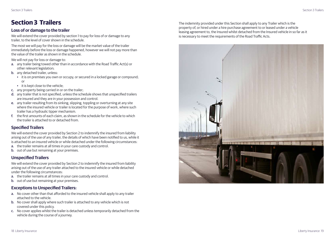## <span id="page-10-0"></span>**Section 3 Trailers**

#### **Loss of or damage to the trailer**

We will extend the cover provided by section 1 to pay for loss of or damage to any trailer, to the level of cover shown in the schedule.

The most we will pay for the loss or damage will be the market value of the trailer immediately before the loss or damage happened, however we will not pay more than the value of the trailer as shown in the schedule.

We will not pay for loss or damage to:

- a. any trailer being towed other than in accordance with the Road Traffic Act(s) or other relevant legislation;
- b. any detached trailer, unless:
	- it is on premises you own or occupy, or secured in a locked garage or compound; or
	- it is kept close to the vehicle;
- c. any property being carried in or on the trailer;
- d. any trailer that is not specified, unless the schedule shows that unspecified trailers are insured and they are in your possession and control.
- e. any trailer resulting from its sinking, slipping, toppling or overturning at any site where the insured vehicle or trailer is located for the purpose of work, where such trailer has a hydraulic tipper mechanism.
- f. the first amounts of each claim, as shown in the schedule for the vehicle to which the trailer is attached to or detached from.

### **Specified Trailers**

We will extend the cover provided by Section 2 to indemnify the insured from liability arising out of the use of any trailer, the details of which have been notified to us, while it is attached to an insured vehicle or while detached under the following circumstances:

- a. the trailer remains at all times in your care custody and control.
- b. out of use but remaining at your premises.

#### **Unspecified Trailers**

We will extend the cover provided by Section 2 to indemnify the insured from liability arising out of the use of any trailer attached to the insured vehicle or while detached under the following circumstances:

- a. the trailer remains at all times in your care custody and control.
- b. out of use but remaining at your premises.

#### **Exceptions to Unspecified Trailers:**

- a. No cover other than that afforded to the insured vehicle shall apply to any trailer attached to the vehicle.
- b. No cover shall apply where such trailer is attached to any vehicle which is not covered under this policy.
- c. No cover applies whilst the trailer is detached unless temporarily detached from the vehicle during the course of a journey.

The indemnity provided under this Section shall apply to any Trailer which is the property of, or hired under a hire purchase agreement to or leased under a vehicle leasing agreement to, the Insured whilst detached from the Insured vehicle in so far as it is necessary to meet the requirements of the Road Traffic Acts.

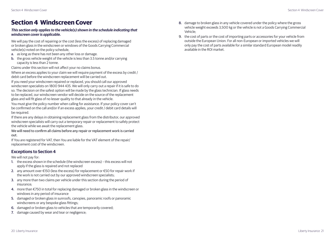### <span id="page-11-0"></span>**Section 4 Windscreen Cover**

#### *This section only applies to the vehicle(s) shown in the schedule indicating that windscreen cover is applicable.*

We will pay the cost of repairing or the cost (less the excess) of replacing damaged or broken glass in the windscreen or windows of the Goods Carrying Commercial vehicle(s) noted on the policy schedule,

- a. as long as there has not been any other loss or damage.
- b. the gross vehicle weight of the vehicle is less than 3.5 tonne and/or carrying capacity is less than 2 tonne.

Claims under this section will not affect your no claims bonus.

Where an excess applies to your claim we will require payment of the excess by credit / debit card before the windscreen replacement will be carried out.

If you need your windscreen repaired or replaced, you should call our approved windscreen specialists on 1800 944 435. We will only carry out a repair if it is safe to do so. The decision on the safest option will be made by the glass technician. If glass needs to be replaced, our windscreen vendor will decide on the source of the replacement glass and will fit glass of no lesser quality to that already in the vehicle.

You must give the policy number when calling for assistance. If your policy cover can't be confirmed on the call and/or if an excess applies, your credit / debit card details will be required.

If there are any delays in obtaining replacement glass from the distributor, our approved windscreen specialists will carry out a temporary repair or replacement to safely protect the vehicle while we await the replacement glass.

We will need to confirm all claims before any repair or replacement work is carried out.

If You are registered for VAT, then You are liable for the VAT element of the repair/ replacement cost of the windscreen.

#### **Exceptions to Section 4**

We will not pay for:

- 1. the excess shown in the schedule (the windscreen excess) this excess will not apply if the glass is repaired and not replaced
- 2. any amount over €150 (less the excess) for replacement or €50 for repair work if the work is not carried out by our approved windscreen specialists;
- 3. any more than two claims per vehicle under this section during the period of insurance;
- 4. more than €750 in total for replacing damaged or broken glass in the windscreen or windows in any period of insurance
- 5. damaged or broken glass in sunroofs, canopies, panoramic roofs or panoramic windscreens or any bespoke glass fittings;
- 6. damaged or broken glass to vehicles that are temporarily covered;
- 7. damage caused by wear and tear or negligence;
- 8. damage to broken glass in any vehicle covered under the policy where the gross vehicle weight exceeds 3,500 kg or the vehicle is not a Goods Carrying Commercial Vehicle;
- 9. the cost of parts or the cost of importing parts or accessories for your vehicle from outside the European Union. For all non-European or imported vehicles we will only pay the cost of parts available for a similar standard European model readily available in the ROI market.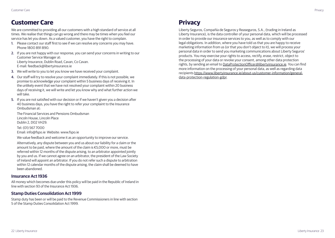### <span id="page-12-0"></span>**Customer Care**

We are committed to providing all our customers with a high standard of service at all times. We realise that things can go wrong and there may be times when you feel our service has let you down. As a valued customer, you have the right to complain.

- 1. Please contact our staff first to see if we can resolve any concerns you may have. Phone 1800 891 890.
- 2. If you are not happy with our response, you can send your concerns in writing to our Customer Service Manager at: Liberty Insurance, Dublin Road, Cavan, Co Cavan. E-mail: feedback@libertyinsurance.ie
- 3. We will write to you to let you know we have received your complaint.
- 4. Our staff will try to resolve your complaint immediately. If this is not possible, we promise to acknowledge your complaint within 5 business days of receiving it. In the unlikely event that we have not resolved your complaint within 20 business days of receiving it, we will write and let you know why and what further action we will take.
- 5. If you are not satisfied with our decision or if we haven't given you a decision after 40 business days, you have the right to refer your complaint to the Insurance Ombudsman at:

The Financial Services and Pensions Ombudsman Lincoln House, Lincoln Place Dublin 2, D02 VH29.

Tel: (01) 567 7000 Email: info@fspo.ie Website: www.fspo.ie

We value feedback and welcome it as an opportunity to improve our service.

Alternatively, any dispute between you and us about our liability for a claim or the amount to be paid, where the amount of the claim is €5,000 or more, must be referred within 12 months of the dispute arising, to an arbitrator appointed jointly by you and us. If we cannot agree on an arbitrator, the president of the Law Society of Ireland will appoint an arbitrator. If you do not refer such a dispute to arbitration within 12 calendar months of the dispute arising, the claim shall be deemed to have been abandoned.

#### **Insurance Act 1936**

All money which becomes due under this policy will be paid in the Republic of Ireland in line with section 93 of the Insurance Act 1936.

#### **Stamp Duties Consolidation Act 1999**

Stamp duty has been or will be paid to the Revenue Commissioners in line with section 5 of the Stamp Duties Consolidation Act 1999.

Liberty Seguros, Compañía de Seguros y Reaseguros, S.A., (trading in Ireland as Liberty Insurance), is the data controller of your personal data, which will be processed in order to provide our insurance services to you, as well as to comply with our legal obligations. In addition, where you have told us that you are happy to receive marketing information from us (or that you don't object to it), we will process your personal data in order to send you marketing communications about Liberty Seguros' products. You may exercise your rights to access, rectify, erase, restrict, object to the processing of your data or revoke your consent, among other data protection rights, by sending an email to DataProtectionOfficer@libertyinsurance.ie. You can find more information on the processing of your personal data, as well as regarding data recipients https://www.libertyinsurance.ie/about-us/customer-information/generaldata-protection-regulation-gdpr.